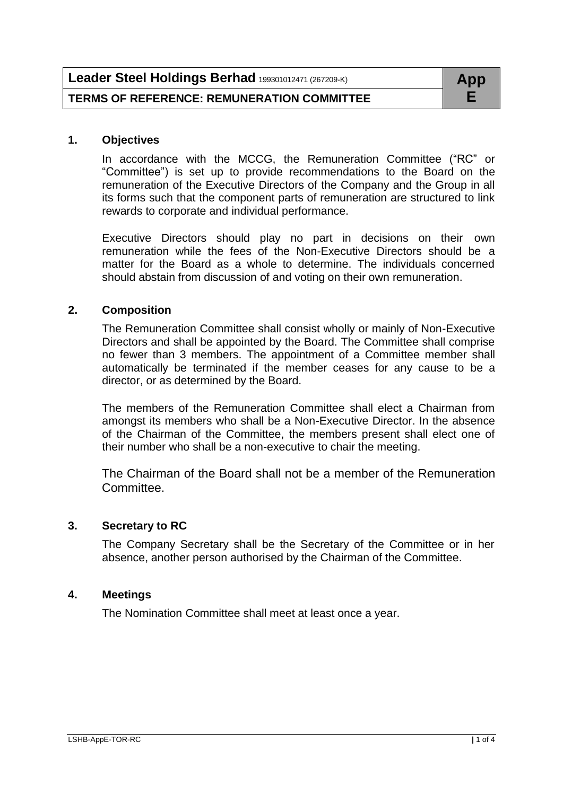| Leader Steel Holdings Berhad 199301012471 (267209-K) | App |
|------------------------------------------------------|-----|
| <b>TERMS OF REFERENCE: REMUNERATION COMMITTEE</b>    |     |

## **1. Objectives**

In accordance with the MCCG, the Remuneration Committee ("RC" or "Committee") is set up to provide recommendations to the Board on the remuneration of the Executive Directors of the Company and the Group in all its forms such that the component parts of remuneration are structured to link rewards to corporate and individual performance.

Executive Directors should play no part in decisions on their own remuneration while the fees of the Non-Executive Directors should be a matter for the Board as a whole to determine. The individuals concerned should abstain from discussion of and voting on their own remuneration.

## **2. Composition**

The Remuneration Committee shall consist wholly or mainly of Non-Executive Directors and shall be appointed by the Board. The Committee shall comprise no fewer than 3 members. The appointment of a Committee member shall automatically be terminated if the member ceases for any cause to be a director, or as determined by the Board.

The members of the Remuneration Committee shall elect a Chairman from amongst its members who shall be a Non-Executive Director. In the absence of the Chairman of the Committee, the members present shall elect one of their number who shall be a non-executive to chair the meeting.

The Chairman of the Board shall not be a member of the Remuneration Committee.

#### **3. Secretary to RC**

The Company Secretary shall be the Secretary of the Committee or in her absence, another person authorised by the Chairman of the Committee.

# **4. Meetings**

The Nomination Committee shall meet at least once a year.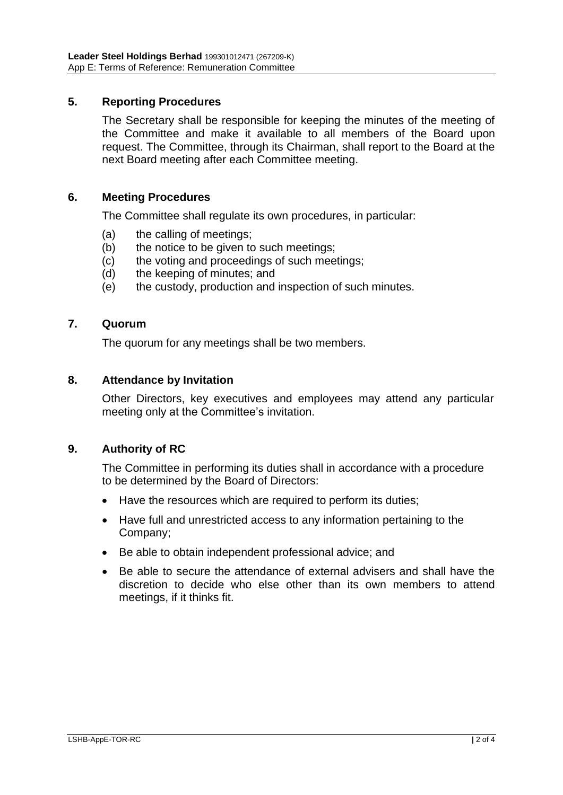# **5. Reporting Procedures**

The Secretary shall be responsible for keeping the minutes of the meeting of the Committee and make it available to all members of the Board upon request. The Committee, through its Chairman, shall report to the Board at the next Board meeting after each Committee meeting.

# **6. Meeting Procedures**

The Committee shall regulate its own procedures, in particular:

- (a) the calling of meetings;
- (b) the notice to be given to such meetings;
- (c) the voting and proceedings of such meetings;
- (d) the keeping of minutes; and
- (e) the custody, production and inspection of such minutes.

# **7. Quorum**

The quorum for any meetings shall be two members.

## **8. Attendance by Invitation**

Other Directors, key executives and employees may attend any particular meeting only at the Committee's invitation.

# **9. Authority of RC**

The Committee in performing its duties shall in accordance with a procedure to be determined by the Board of Directors:

- Have the resources which are required to perform its duties;
- Have full and unrestricted access to any information pertaining to the Company;
- Be able to obtain independent professional advice; and
- Be able to secure the attendance of external advisers and shall have the discretion to decide who else other than its own members to attend meetings, if it thinks fit.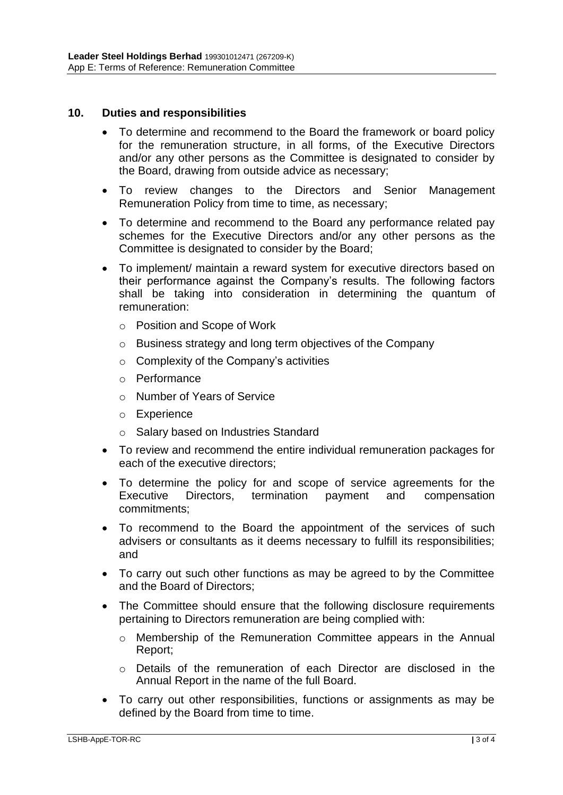# **10. Duties and responsibilities**

- To determine and recommend to the Board the framework or board policy for the remuneration structure, in all forms, of the Executive Directors and/or any other persons as the Committee is designated to consider by the Board, drawing from outside advice as necessary;
- To review changes to the Directors and Senior Management Remuneration Policy from time to time, as necessary;
- To determine and recommend to the Board any performance related pay schemes for the Executive Directors and/or any other persons as the Committee is designated to consider by the Board;
- To implement/ maintain a reward system for executive directors based on their performance against the Company's results. The following factors shall be taking into consideration in determining the quantum of remuneration:
	- o Position and Scope of Work
	- o Business strategy and long term objectives of the Company
	- o Complexity of the Company's activities
	- o Performance
	- o Number of Years of Service
	- o Experience
	- o Salary based on Industries Standard
- To review and recommend the entire individual remuneration packages for each of the executive directors;
- To determine the policy for and scope of service agreements for the Executive Directors, termination payment and compensation commitments;
- To recommend to the Board the appointment of the services of such advisers or consultants as it deems necessary to fulfill its responsibilities; and
- To carry out such other functions as may be agreed to by the Committee and the Board of Directors;
- The Committee should ensure that the following disclosure requirements pertaining to Directors remuneration are being complied with:
	- o Membership of the Remuneration Committee appears in the Annual Report;
	- o Details of the remuneration of each Director are disclosed in the Annual Report in the name of the full Board.
- To carry out other responsibilities, functions or assignments as may be defined by the Board from time to time.